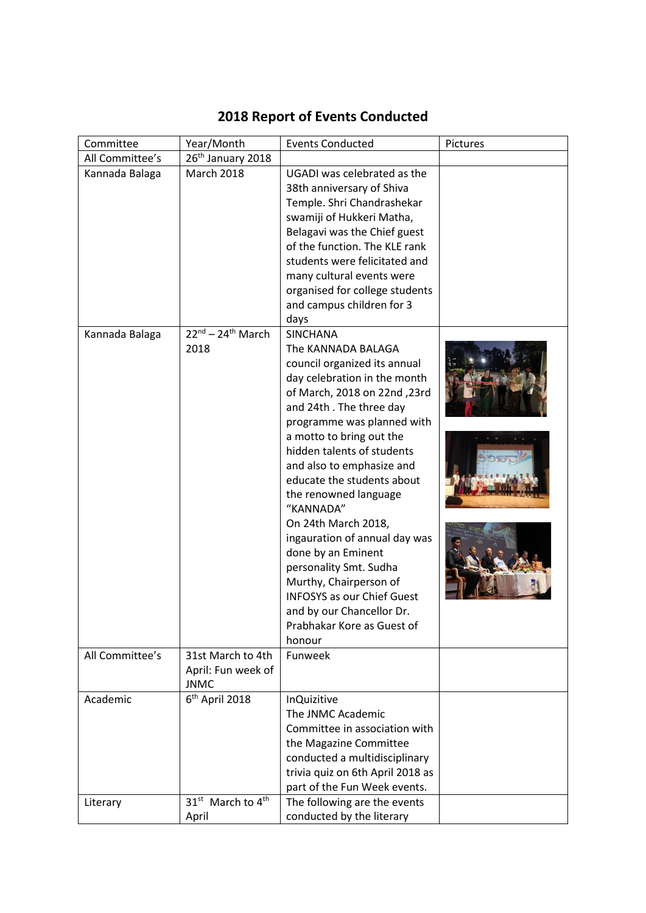| 26 <sup>th</sup> January 2018<br>All Committee's                                      |  |
|---------------------------------------------------------------------------------------|--|
| <b>March 2018</b><br>Kannada Balaga<br>UGADI was celebrated as the                    |  |
| 38th anniversary of Shiva                                                             |  |
| Temple. Shri Chandrashekar                                                            |  |
| swamiji of Hukkeri Matha,                                                             |  |
| Belagavi was the Chief guest                                                          |  |
| of the function. The KLE rank                                                         |  |
| students were felicitated and                                                         |  |
| many cultural events were                                                             |  |
| organised for college students                                                        |  |
| and campus children for 3                                                             |  |
| days                                                                                  |  |
| $22^{nd}$ – 24 <sup>th</sup> March<br><b>SINCHANA</b><br>Kannada Balaga               |  |
| The KANNADA BALAGA<br>2018                                                            |  |
| council organized its annual                                                          |  |
| day celebration in the month                                                          |  |
| of March, 2018 on 22nd, 23rd                                                          |  |
| and 24th. The three day                                                               |  |
| programme was planned with                                                            |  |
| a motto to bring out the                                                              |  |
| hidden talents of students                                                            |  |
| and also to emphasize and                                                             |  |
| educate the students about                                                            |  |
| the renowned language                                                                 |  |
| "KANNADA"                                                                             |  |
| On 24th March 2018,                                                                   |  |
| ingauration of annual day was                                                         |  |
| done by an Eminent                                                                    |  |
| personality Smt. Sudha<br>Murthy, Chairperson of                                      |  |
| <b>INFOSYS as our Chief Guest</b>                                                     |  |
|                                                                                       |  |
| and by our Chancellor Dr.<br>Prabhakar Kore as Guest of                               |  |
| honour                                                                                |  |
| All Committee's<br>31st March to 4th<br>Funweek                                       |  |
| April: Fun week of                                                                    |  |
| <b>JNMC</b>                                                                           |  |
| 6 <sup>th</sup> April 2018<br>Academic<br><b>InQuizitive</b>                          |  |
| The JNMC Academic                                                                     |  |
| Committee in association with                                                         |  |
| the Magazine Committee                                                                |  |
| conducted a multidisciplinary                                                         |  |
| trivia quiz on 6th April 2018 as                                                      |  |
| part of the Fun Week events.                                                          |  |
| The following are the events<br>31 <sup>st</sup> March to 4 <sup>th</sup><br>Literary |  |
| conducted by the literary<br>April                                                    |  |

## **2018 Report of Events Conducted**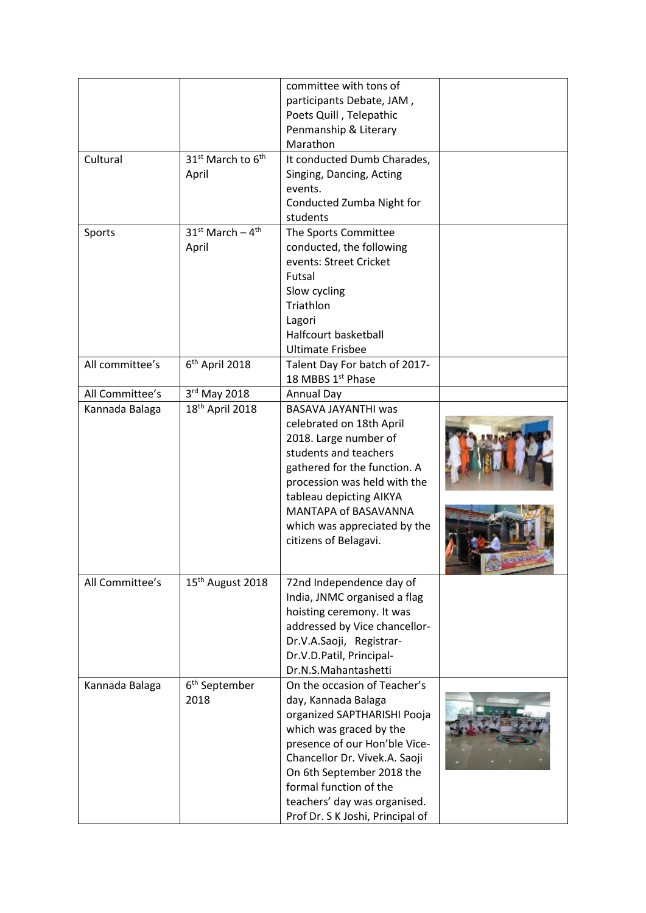|                 |                                                    | committee with tons of<br>participants Debate, JAM,<br>Poets Quill, Telepathic<br>Penmanship & Literary<br>Marathon                                                                                                                                                                                        |  |
|-----------------|----------------------------------------------------|------------------------------------------------------------------------------------------------------------------------------------------------------------------------------------------------------------------------------------------------------------------------------------------------------------|--|
| Cultural        | 31 <sup>st</sup> March to 6 <sup>th</sup><br>April | It conducted Dumb Charades,<br>Singing, Dancing, Acting<br>events.<br>Conducted Zumba Night for<br>students                                                                                                                                                                                                |  |
| Sports          | $31^{st}$ March - $4^{th}$<br>April                | The Sports Committee<br>conducted, the following<br>events: Street Cricket<br>Futsal<br>Slow cycling<br>Triathlon<br>Lagori<br>Halfcourt basketball<br><b>Ultimate Frisbee</b>                                                                                                                             |  |
| All committee's | 6 <sup>th</sup> April 2018                         | Talent Day For batch of 2017-<br>18 MBBS 1st Phase                                                                                                                                                                                                                                                         |  |
| All Committee's | 3rd May 2018                                       | Annual Day                                                                                                                                                                                                                                                                                                 |  |
| Kannada Balaga  | 18 <sup>th</sup> April 2018                        | BASAVA JAYANTHI was<br>celebrated on 18th April<br>2018. Large number of<br>students and teachers<br>gathered for the function. A<br>procession was held with the<br>tableau depicting AIKYA<br>MANTAPA of BASAVANNA<br>which was appreciated by the<br>citizens of Belagavi.                              |  |
| All Committee's | 15 <sup>th</sup> August 2018                       | 72nd Independence day of<br>India, JNMC organised a flag<br>hoisting ceremony. It was<br>addressed by Vice chancellor-<br>Dr.V.A.Saoji, Registrar-<br>Dr.V.D.Patil, Principal-<br>Dr.N.S.Mahantashetti                                                                                                     |  |
| Kannada Balaga  | 6 <sup>th</sup> September<br>2018                  | On the occasion of Teacher's<br>day, Kannada Balaga<br>organized SAPTHARISHI Pooja<br>which was graced by the<br>presence of our Hon'ble Vice-<br>Chancellor Dr. Vivek.A. Saoji<br>On 6th September 2018 the<br>formal function of the<br>teachers' day was organised.<br>Prof Dr. S K Joshi, Principal of |  |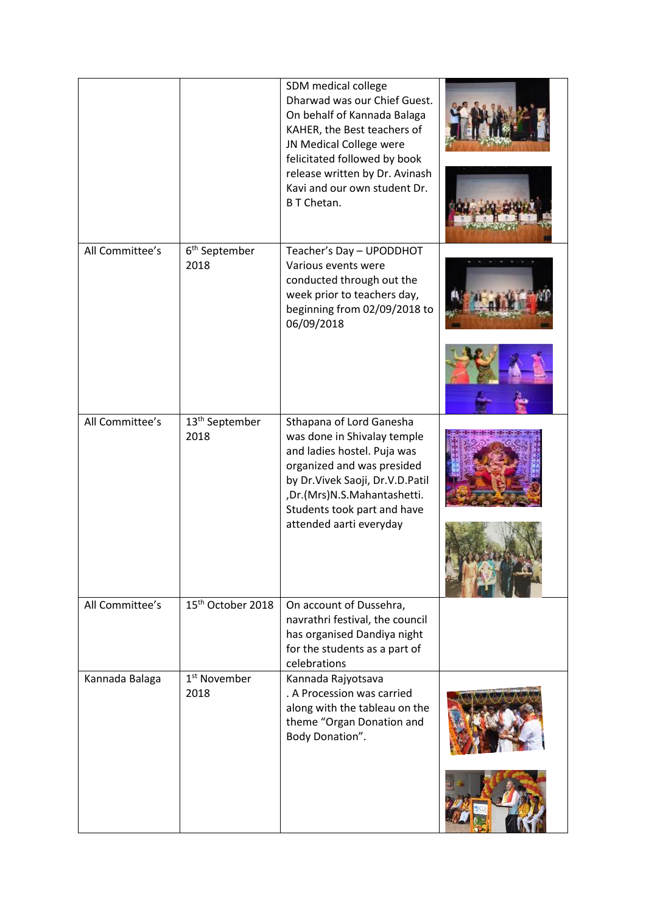|                 |                                    | SDM medical college<br>Dharwad was our Chief Guest.<br>On behalf of Kannada Balaga<br>KAHER, the Best teachers of<br>JN Medical College were<br>felicitated followed by book<br>release written by Dr. Avinash<br>Kavi and our own student Dr.<br><b>BT</b> Chetan. |  |
|-----------------|------------------------------------|---------------------------------------------------------------------------------------------------------------------------------------------------------------------------------------------------------------------------------------------------------------------|--|
| All Committee's | 6 <sup>th</sup> September<br>2018  | Teacher's Day - UPODDHOT<br>Various events were<br>conducted through out the<br>week prior to teachers day,<br>beginning from 02/09/2018 to<br>06/09/2018                                                                                                           |  |
| All Committee's | 13 <sup>th</sup> September<br>2018 | Sthapana of Lord Ganesha<br>was done in Shivalay temple<br>and ladies hostel. Puja was<br>organized and was presided<br>by Dr. Vivek Saoji, Dr. V.D. Patil<br>,Dr.(Mrs)N.S.Mahantashetti.<br>Students took part and have<br>attended aarti everyday                 |  |
| All Committee's | 15 <sup>th</sup> October 2018      | On account of Dussehra,<br>navrathri festival, the council<br>has organised Dandiya night<br>for the students as a part of<br>celebrations                                                                                                                          |  |
| Kannada Balaga  | 1 <sup>st</sup> November<br>2018   | Kannada Rajyotsava<br>. A Procession was carried<br>along with the tableau on the<br>theme "Organ Donation and<br>Body Donation".                                                                                                                                   |  |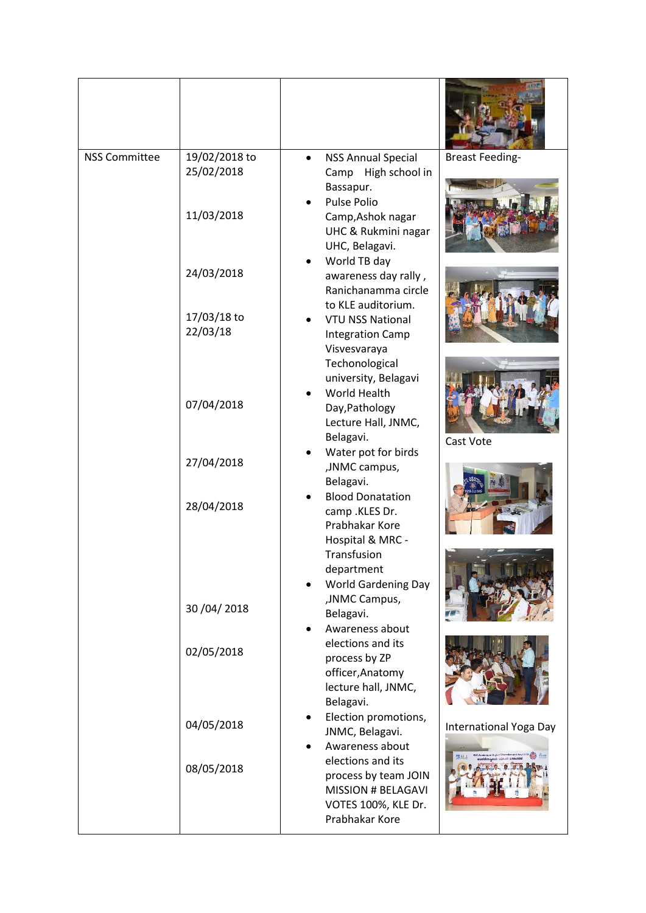| <b>NSS Committee</b> | 19/02/2018 to<br>25/02/2018 | <b>NSS Annual Special</b><br>Camp High school in<br>Bassapur.<br>Pulse Polio                                    | <b>Breast Feeding-</b> |
|----------------------|-----------------------------|-----------------------------------------------------------------------------------------------------------------|------------------------|
|                      | 11/03/2018                  | Camp, Ashok nagar<br>UHC & Rukmini nagar<br>UHC, Belagavi.<br>World TB day                                      |                        |
|                      | 24/03/2018                  | awareness day rally,<br>Ranichanamma circle<br>to KLE auditorium.                                               |                        |
|                      | 17/03/18 to<br>22/03/18     | <b>VTU NSS National</b><br><b>Integration Camp</b><br>Visvesvaraya<br>Techonological                            |                        |
|                      | 07/04/2018                  | university, Belagavi<br>World Health<br>Day, Pathology<br>Lecture Hall, JNMC,<br>Belagavi.                      | Cast Vote              |
|                      | 27/04/2018                  | Water pot for birds<br>, JNMC campus,<br>Belagavi.                                                              |                        |
|                      | 28/04/2018                  | <b>Blood Donatation</b><br>camp .KLES Dr.<br>Prabhakar Kore<br>Hospital & MRC -<br>Transfusion                  |                        |
|                      |                             | department<br><b>World Gardening Day</b><br>, JNMC Campus,                                                      |                        |
|                      | 30 / 04 / 2018              | Belagavi.<br>Awareness about                                                                                    |                        |
|                      | 02/05/2018                  | elections and its<br>process by ZP<br>officer, Anatomy<br>lecture hall, JNMC,<br>Belagavi.                      |                        |
|                      | 04/05/2018                  | Election promotions,<br>JNMC, Belagavi.<br>Awareness about                                                      | International Yoga Day |
|                      | 08/05/2018                  | elections and its<br>process by team JOIN<br><b>MISSION # BELAGAVI</b><br>VOTES 100%, KLE Dr.<br>Prabhakar Kore |                        |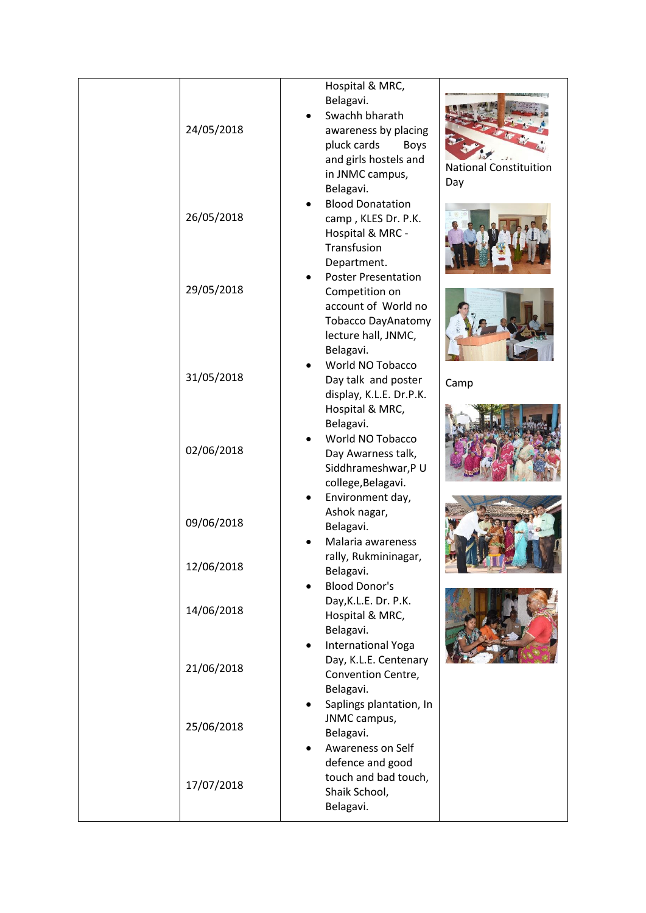|            | Hospital & MRC,                                                                                                                        |                                      |
|------------|----------------------------------------------------------------------------------------------------------------------------------------|--------------------------------------|
| 24/05/2018 | Belagavi.<br>Swachh bharath<br>awareness by placing<br>pluck cards<br>Boys<br>and girls hostels and<br>in JNMC campus,<br>Belagavi.    | <b>National Constituition</b><br>Day |
| 26/05/2018 | <b>Blood Donatation</b><br>camp, KLES Dr. P.K.<br>Hospital & MRC -<br>Transfusion                                                      |                                      |
| 29/05/2018 | Department.<br><b>Poster Presentation</b><br>Competition on<br>account of World no<br><b>Tobacco DayAnatomy</b><br>lecture hall, JNMC, |                                      |
| 31/05/2018 | Belagavi.<br>World NO Tobacco<br>Day talk and poster<br>display, K.L.E. Dr.P.K.<br>Hospital & MRC,                                     | Camp                                 |
| 02/06/2018 | Belagavi.<br>World NO Tobacco<br>Day Awarness talk,<br>Siddhrameshwar, PU<br>college, Belagavi.                                        |                                      |
| 09/06/2018 | Environment day,<br>Ashok nagar,<br>Belagavi.<br>Malaria awareness                                                                     |                                      |
| 12/06/2018 | rally, Rukmininagar,<br>Belagavi.<br><b>Blood Donor's</b>                                                                              |                                      |
| 14/06/2018 | Day, K.L.E. Dr. P.K.<br>Hospital & MRC,<br>Belagavi.                                                                                   |                                      |
| 21/06/2018 | <b>International Yoga</b><br>Day, K.L.E. Centenary<br>Convention Centre,<br>Belagavi.                                                  |                                      |
| 25/06/2018 | Saplings plantation, In<br>٠<br>JNMC campus,<br>Belagavi.<br>Awareness on Self                                                         |                                      |
| 17/07/2018 | defence and good<br>touch and bad touch,<br>Shaik School,<br>Belagavi.                                                                 |                                      |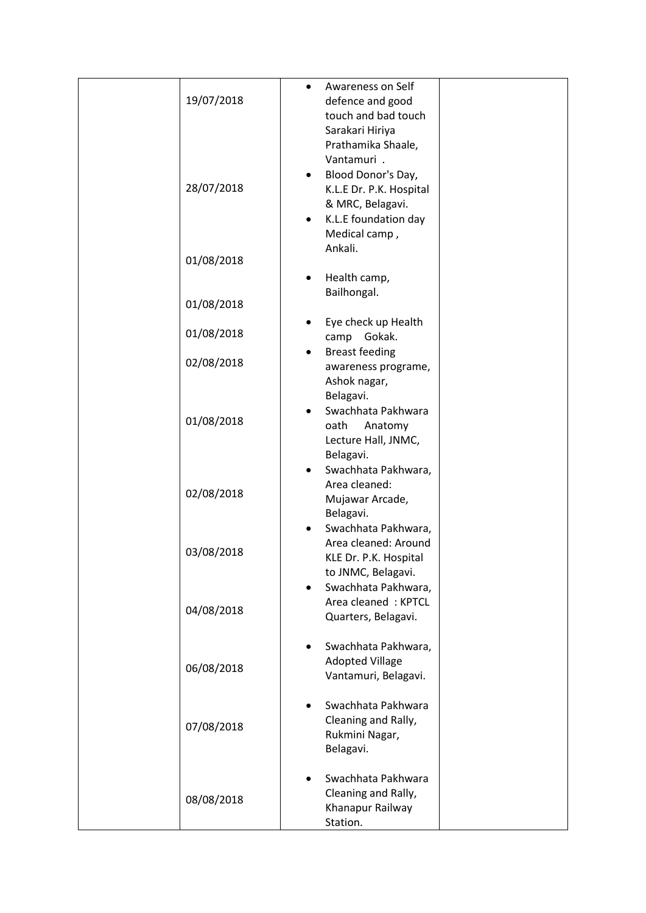| 19/07/2018<br>28/07/2018 | Awareness on Self<br>$\bullet$<br>defence and good<br>touch and bad touch<br>Sarakari Hiriya<br>Prathamika Shaale,<br>Vantamuri .<br>Blood Donor's Day,<br>٠<br>K.L.E Dr. P.K. Hospital<br>& MRC, Belagavi.<br>K.L.E foundation day<br>Medical camp,<br>Ankali. |
|--------------------------|-----------------------------------------------------------------------------------------------------------------------------------------------------------------------------------------------------------------------------------------------------------------|
| 01/08/2018               |                                                                                                                                                                                                                                                                 |
| 01/08/2018               | Health camp,<br>Bailhongal.                                                                                                                                                                                                                                     |
|                          | Eye check up Health                                                                                                                                                                                                                                             |
| 01/08/2018               | camp<br>Gokak.                                                                                                                                                                                                                                                  |
| 02/08/2018               | <b>Breast feeding</b><br>awareness programe,<br>Ashok nagar,                                                                                                                                                                                                    |
| 01/08/2018               | Belagavi.<br>Swachhata Pakhwara<br>oath<br>Anatomy<br>Lecture Hall, JNMC,<br>Belagavi.                                                                                                                                                                          |
| 02/08/2018               | Swachhata Pakhwara,<br>$\bullet$<br>Area cleaned:<br>Mujawar Arcade,<br>Belagavi.                                                                                                                                                                               |
| 03/08/2018               | Swachhata Pakhwara,<br>$\bullet$<br>Area cleaned: Around<br>KLE Dr. P.K. Hospital<br>to JNMC, Belagavi.                                                                                                                                                         |
| 04/08/2018               | Swachhata Pakhwara,<br>$\bullet$<br>Area cleaned: KPTCL<br>Quarters, Belagavi.                                                                                                                                                                                  |
| 06/08/2018               | Swachhata Pakhwara,<br><b>Adopted Village</b><br>Vantamuri, Belagavi.                                                                                                                                                                                           |
| 07/08/2018               | Swachhata Pakhwara<br>Cleaning and Rally,<br>Rukmini Nagar,<br>Belagavi.                                                                                                                                                                                        |
| 08/08/2018               | Swachhata Pakhwara<br>Cleaning and Rally,<br>Khanapur Railway<br>Station.                                                                                                                                                                                       |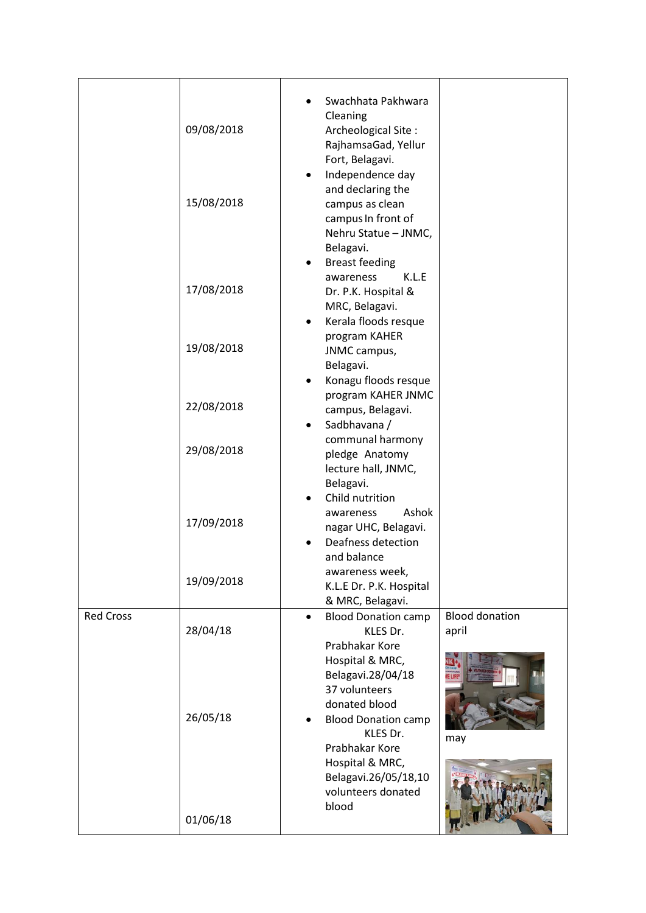| 09/08/2018<br>15/08/2018 | Swachhata Pakhwara<br>Cleaning<br>Archeological Site:<br>RajhamsaGad, Yellur<br>Fort, Belagavi.<br>Independence day<br>$\bullet$<br>and declaring the<br>campus as clean<br>campus In front of<br>Nehru Statue - JNMC, |                                                   |
|--------------------------|------------------------------------------------------------------------------------------------------------------------------------------------------------------------------------------------------------------------|---------------------------------------------------|
| 17/08/2018<br>19/08/2018 | Belagavi.<br><b>Breast feeding</b><br>٠<br>K.L.E<br>awareness<br>Dr. P.K. Hospital &<br>MRC, Belagavi.<br>Kerala floods resque<br>٠<br>program KAHER                                                                   |                                                   |
| 22/08/2018               | Belagavi.<br>Konagu floods resque<br>٠<br>program KAHER JNMC<br>campus, Belagavi.<br>Sadbhavana /<br>$\bullet$                                                                                                         |                                                   |
| 29/08/2018               | pledge Anatomy<br>lecture hall, JNMC,<br>Belagavi.                                                                                                                                                                     |                                                   |
| 17/09/2018               | Child nutrition<br>Ashok<br>awareness<br>nagar UHC, Belagavi.<br>Deafness detection<br>and balance                                                                                                                     |                                                   |
| 19/09/2018               | awareness week,<br>K.L.E Dr. P.K. Hospital<br>& MRC, Belagavi.                                                                                                                                                         |                                                   |
| 28/04/18                 | <b>Blood Donation camp</b><br>KLES Dr.<br>Prabhakar Kore<br>Hospital & MRC,<br>Belagavi.28/04/18<br>37 volunteers                                                                                                      | <b>Blood donation</b><br>april                    |
| 26/05/18                 | <b>Blood Donation camp</b><br>KLES Dr.<br>Prabhakar Kore<br>Hospital & MRC,<br>Belagavi.26/05/18,10<br>volunteers donated<br>blood                                                                                     | may                                               |
|                          | 01/06/18                                                                                                                                                                                                               | JNMC campus,<br>communal harmony<br>donated blood |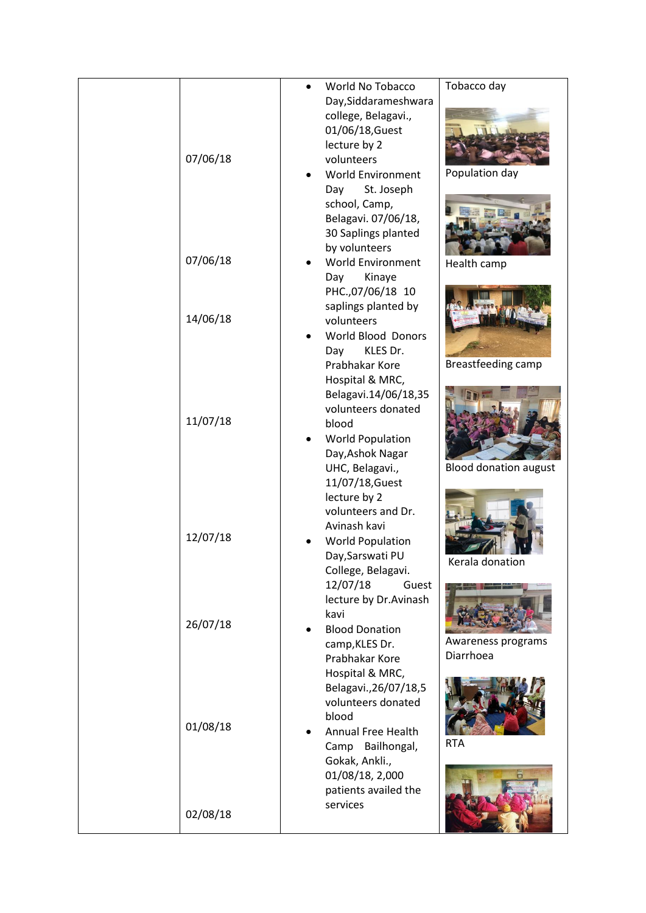|          | World No Tobacco          | Tobacco day                  |
|----------|---------------------------|------------------------------|
|          | Day, Siddarameshwara      |                              |
|          | college, Belagavi.,       |                              |
|          | 01/06/18, Guest           |                              |
|          | lecture by 2              |                              |
| 07/06/18 | volunteers                |                              |
|          |                           | Population day               |
|          | <b>World Environment</b>  |                              |
|          | St. Joseph<br>Day         |                              |
|          | school, Camp,             |                              |
|          | Belagavi. 07/06/18,       |                              |
|          | 30 Saplings planted       |                              |
|          | by volunteers             |                              |
| 07/06/18 | <b>World Environment</b>  | Health camp                  |
|          | Day<br>Kinaye             |                              |
|          | PHC.,07/06/18 10          |                              |
|          | saplings planted by       |                              |
| 14/06/18 | volunteers                |                              |
|          | <b>World Blood Donors</b> |                              |
|          | KLES Dr.<br>Day           |                              |
|          | Prabhakar Kore            | Breastfeeding camp           |
|          | Hospital & MRC,           |                              |
|          | Belagavi.14/06/18,35      |                              |
|          | volunteers donated        |                              |
| 11/07/18 | blood                     |                              |
|          | <b>World Population</b>   |                              |
|          | Day, Ashok Nagar          |                              |
|          |                           | <b>Blood donation august</b> |
|          | UHC, Belagavi.,           |                              |
|          | 11/07/18, Guest           |                              |
|          | lecture by 2              |                              |
|          | volunteers and Dr.        |                              |
| 12/07/18 | Avinash kavi              |                              |
|          | <b>World Population</b>   |                              |
|          | Day, Sarswati PU          | Kerala donation              |
|          | College, Belagavi.        |                              |
|          | 12/07/18<br>Guest         |                              |
|          | lecture by Dr.Avinash     |                              |
|          | kavi                      |                              |
| 26/07/18 | <b>Blood Donation</b>     |                              |
|          | camp, KLES Dr.            | Awareness programs           |
|          | Prabhakar Kore            | Diarrhoea                    |
|          | Hospital & MRC,           |                              |
|          | Belagavi., 26/07/18, 5    |                              |
|          | volunteers donated        |                              |
|          | blood                     |                              |
| 01/08/18 | <b>Annual Free Health</b> |                              |
|          | Bailhongal,<br>Camp       | <b>RTA</b>                   |
|          | Gokak, Ankli.,            |                              |
|          | 01/08/18, 2,000           |                              |
|          | patients availed the      |                              |
|          | services                  |                              |
| 02/08/18 |                           |                              |
|          |                           |                              |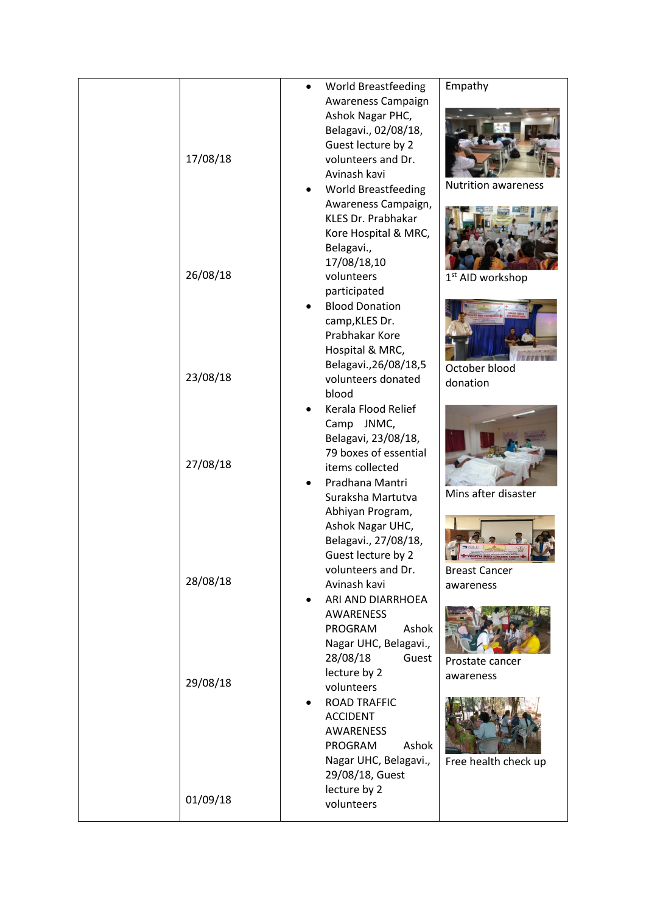|          | <b>World Breastfeeding</b> | Empathy                      |
|----------|----------------------------|------------------------------|
|          | Awareness Campaign         |                              |
|          | Ashok Nagar PHC,           |                              |
|          | Belagavi., 02/08/18,       |                              |
|          | Guest lecture by 2         |                              |
| 17/08/18 | volunteers and Dr.         |                              |
|          | Avinash kavi               |                              |
|          |                            | <b>Nutrition awareness</b>   |
|          | <b>World Breastfeeding</b> |                              |
|          | Awareness Campaign,        |                              |
|          | <b>KLES Dr. Prabhakar</b>  |                              |
|          | Kore Hospital & MRC,       |                              |
|          | Belagavi.,                 |                              |
|          | 17/08/18,10                |                              |
| 26/08/18 | volunteers                 | 1 <sup>st</sup> AID workshop |
|          |                            |                              |
|          | participated               |                              |
|          | <b>Blood Donation</b>      |                              |
|          | camp, KLES Dr.             |                              |
|          | Prabhakar Kore             |                              |
|          | Hospital & MRC,            |                              |
|          | Belagavi., 26/08/18, 5     | October blood                |
| 23/08/18 | volunteers donated         | donation                     |
|          | blood                      |                              |
|          | Kerala Flood Relief        |                              |
|          |                            |                              |
|          | Camp JNMC,                 |                              |
|          | Belagavi, 23/08/18,        |                              |
|          | 79 boxes of essential      |                              |
| 27/08/18 | items collected            |                              |
|          | Pradhana Mantri            |                              |
|          | Suraksha Martutva          | Mins after disaster          |
|          | Abhiyan Program,           |                              |
|          | Ashok Nagar UHC,           |                              |
|          | Belagavi., 27/08/18,       |                              |
|          | Guest lecture by 2         |                              |
|          | volunteers and Dr.         | <b>Breast Cancer</b>         |
| 28/08/18 | Avinash kavi               |                              |
|          |                            | awareness                    |
|          | ARI AND DIARRHOEA          |                              |
|          | AWARENESS                  |                              |
|          | Ashok<br>PROGRAM           |                              |
|          | Nagar UHC, Belagavi.,      |                              |
|          | 28/08/18<br>Guest          | Prostate cancer              |
|          | lecture by 2               | awareness                    |
| 29/08/18 | volunteers                 |                              |
|          | <b>ROAD TRAFFIC</b>        |                              |
|          | <b>ACCIDENT</b>            |                              |
|          | AWARENESS                  |                              |
|          |                            |                              |
|          | PROGRAM<br>Ashok           |                              |
|          | Nagar UHC, Belagavi.,      | Free health check up         |
|          | 29/08/18, Guest            |                              |
|          | lecture by 2               |                              |
| 01/09/18 | volunteers                 |                              |
|          |                            |                              |